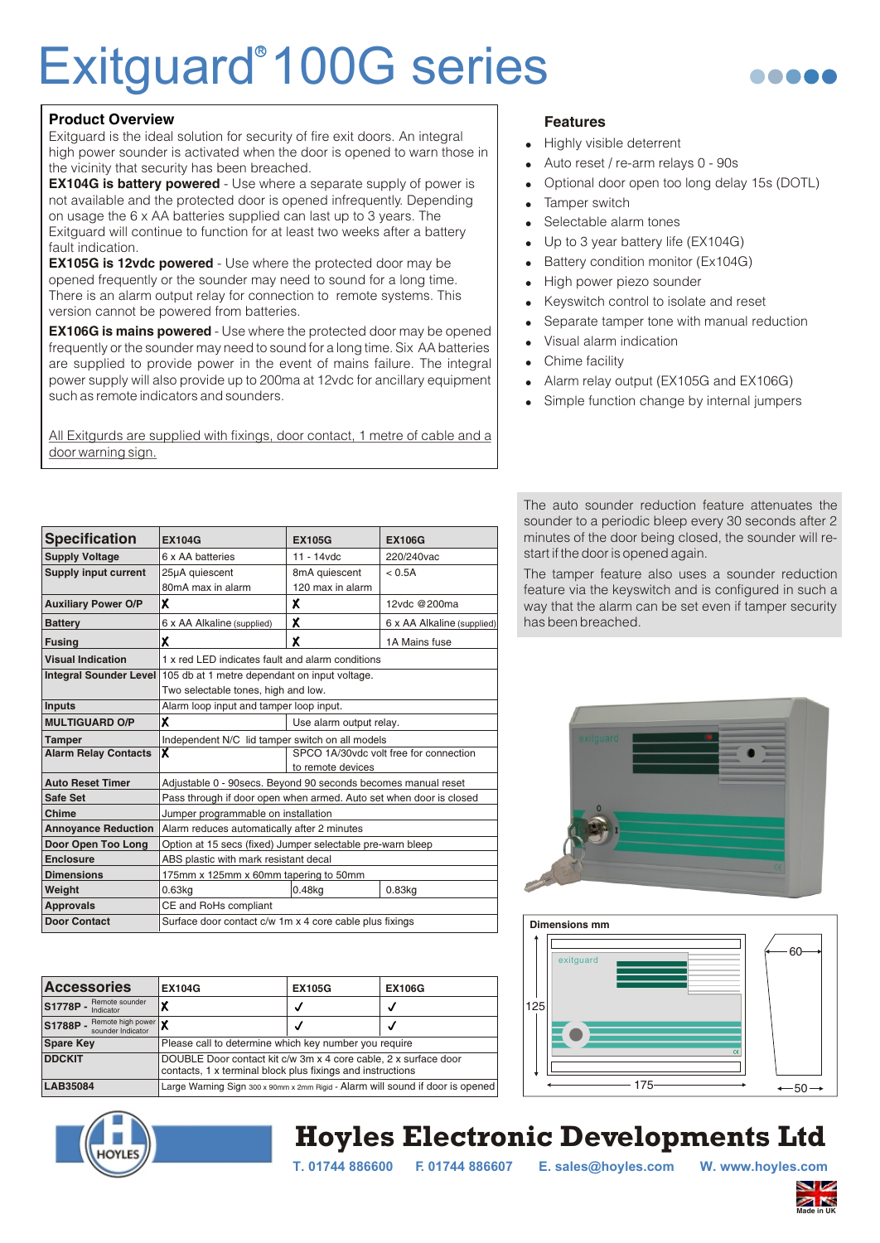## Exitguard<sup>®</sup> 100G series



#### **Product Overview**

Exitguard is the ideal solution for security of fire exit doors. An integral high power sounder is activated when the door is opened to warn those in the vicinity that security has been breached.

**EX104G is battery powered** - Use where a separate supply of power is not available and the protected door is opened infrequently. Depending on usage the 6 x AA batteries supplied can last up to 3 years. The Exitguard will continue to function for at least two weeks after a battery fault indication.

**EX105G is 12vdc powered** - Use where the protected door may be opened frequently or the sounder may need to sound for a long time. There is an alarm output relay for connection to remote systems. This version cannot be powered from batteries.

**EX106G is mains powered** - Use where the protected door may be opened frequently or the sounder may need to sound for a long time. Six AA batteries are supplied to provide power in the event of mains failure. The integral power supply will also provide up to 200ma at 12vdc for ancillary equipment such as remote indicators and sounders.

All Exitgurds are supplied with fixings, door contact, 1 metre of cable and a door warning sign.

#### **Features**

- Highly visible deterrent
- Auto reset / re-arm relays 0 90s
- ! Optional door open too long delay 15s (DOTL)
- **Tamper switch**
- Selectable alarm tones
- Up to 3 year battery life (EX104G)
- Battery condition monitor (Ex104G)
- High power piezo sounder
- ! Keyswitch control to isolate and reset
- Separate tamper tone with manual reduction
- Visual alarm indication
- Chime facility
- Alarm relay output (EX105G and EX106G)
- Simple function change by internal jumpers

| <b>Specification</b>          | <b>EX104G</b>                                                      | <b>EX105G</b>                          | <b>EX106G</b>              |  |
|-------------------------------|--------------------------------------------------------------------|----------------------------------------|----------------------------|--|
| <b>Supply Voltage</b>         | 6 x AA batteries                                                   | $11 - 14$ vdc                          | 220/240vac                 |  |
| <b>Supply input current</b>   | 25µA quiescent                                                     | 8mA quiescent                          | < 0.5A                     |  |
|                               | 80mA max in alarm                                                  | 120 max in alarm                       |                            |  |
| <b>Auxiliary Power O/P</b>    | X                                                                  | x                                      | 12vdc @200ma               |  |
| <b>Battery</b>                | 6 x AA Alkaline (supplied)                                         | x                                      | 6 x AA Alkaline (supplied) |  |
| <b>Fusing</b>                 | χ                                                                  | χ                                      | 1A Mains fuse              |  |
| <b>Visual Indication</b>      | 1 x red LED indicates fault and alarm conditions                   |                                        |                            |  |
| <b>Integral Sounder Level</b> | 105 db at 1 metre dependant on input voltage.                      |                                        |                            |  |
|                               | Two selectable tones, high and low.                                |                                        |                            |  |
| Inputs                        | Alarm loop input and tamper loop input.                            |                                        |                            |  |
| <b>MULTIGUARD O/P</b>         | x                                                                  | Use alarm output relay.                |                            |  |
| <b>Tamper</b>                 | Independent N/C lid tamper switch on all models                    |                                        |                            |  |
| <b>Alarm Relay Contacts</b>   | $\overline{\mathbf{x}}$                                            | SPCO 1A/30vdc volt free for connection |                            |  |
|                               |                                                                    | to remote devices                      |                            |  |
| <b>Auto Reset Timer</b>       | Adjustable 0 - 90secs. Beyond 90 seconds becomes manual reset      |                                        |                            |  |
| Safe Set                      | Pass through if door open when armed. Auto set when door is closed |                                        |                            |  |
| Chime                         | Jumper programmable on installation                                |                                        |                            |  |
| <b>Annovance Reduction</b>    | Alarm reduces automatically after 2 minutes                        |                                        |                            |  |
| Door Open Too Long            | Option at 15 secs (fixed) Jumper selectable pre-warn bleep         |                                        |                            |  |
| <b>Enclosure</b>              | ABS plastic with mark resistant decal                              |                                        |                            |  |
| <b>Dimensions</b>             | 175mm x 125mm x 60mm tapering to 50mm                              |                                        |                            |  |
| Weight                        | 0.63 <sub>kq</sub>                                                 | $0.48$ kg                              | $0.83$ kg                  |  |
| <b>Approvals</b>              | CE and RoHs compliant                                              |                                        |                            |  |
| <b>Door Contact</b>           | Surface door contact c/w 1m x 4 core cable plus fixings            |                                        |                            |  |

| <b>Accessories</b>                                  | <b>EX104G</b>                                                                                                                 | <b>EX105G</b> | <b>EX106G</b> |
|-----------------------------------------------------|-------------------------------------------------------------------------------------------------------------------------------|---------------|---------------|
| Remote sounder<br>S1778P-<br>Indicator              | χ                                                                                                                             | √             | u             |
| Remote high power X<br>S1788P-<br>sounder Indicator |                                                                                                                               | V             | u             |
| <b>Spare Key</b>                                    | Please call to determine which key number you require                                                                         |               |               |
| <b>DDCKIT</b>                                       | DOUBLE Door contact kit c/w 3m x 4 core cable, 2 x surface door<br>contacts, 1 x terminal block plus fixings and instructions |               |               |
| <b>LAB35084</b>                                     | Large Warning Sign 300 x 90mm x 2mm Rigid - Alarm will sound if door is opened                                                |               |               |

The auto sounder reduction feature attenuates the sounder to a periodic bleep every 30 seconds after 2 minutes of the door being closed, the sounder will restart if the door is opened again.

The tamper feature also uses a sounder reduction feature via the keyswitch and is configured in such a way that the alarm can be set even if tamper security has been breached.





### **Hoyles Electronic Developments Ltd**

**T. 01744 886600 F. 01744 886607 E. sales@hoyles.com W. www.hoyles.com**

**Made in UK**